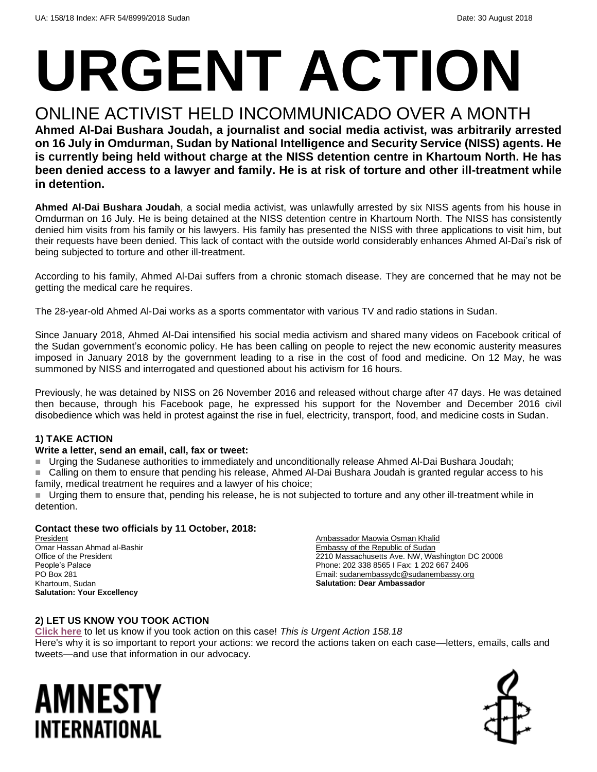# **URGENT ACTION**

## ONLINE ACTIVIST HELD INCOMMUNICADO OVER A MONTH

**Ahmed Al-Dai Bushara Joudah, a journalist and social media activist, was arbitrarily arrested on 16 July in Omdurman, Sudan by National Intelligence and Security Service (NISS) agents. He is currently being held without charge at the NISS detention centre in Khartoum North. He has been denied access to a lawyer and family. He is at risk of torture and other ill-treatment while in detention.**

**Ahmed Al-Dai Bushara Joudah**, a social media activist, was unlawfully arrested by six NISS agents from his house in Omdurman on 16 July. He is being detained at the NISS detention centre in Khartoum North. The NISS has consistently denied him visits from his family or his lawyers. His family has presented the NISS with three applications to visit him, but their requests have been denied. This lack of contact with the outside world considerably enhances Ahmed Al-Dai's risk of being subjected to torture and other ill-treatment.

According to his family, Ahmed Al-Dai suffers from a chronic stomach disease. They are concerned that he may not be getting the medical care he requires.

The 28-year-old Ahmed Al-Dai works as a sports commentator with various TV and radio stations in Sudan.

Since January 2018, Ahmed Al-Dai intensified his social media activism and shared many videos on Facebook critical of the Sudan government's economic policy. He has been calling on people to reject the new economic austerity measures imposed in January 2018 by the government leading to a rise in the cost of food and medicine. On 12 May, he was summoned by NISS and interrogated and questioned about his activism for 16 hours.

Previously, he was detained by NISS on 26 November 2016 and released without charge after 47 days. He was detained then because, through his Facebook page, he expressed his support for the November and December 2016 civil disobedience which was held in protest against the rise in fuel, electricity, transport, food, and medicine costs in Sudan.

#### **1) TAKE ACTION**

#### **Write a letter, send an email, call, fax or tweet:**

Urging the Sudanese authorities to immediately and unconditionally release Ahmed Al-Dai Bushara Joudah;

 Calling on them to ensure that pending his release, Ahmed Al-Dai Bushara Joudah is granted regular access to his family, medical treatment he requires and a lawyer of his choice;

Urging them to ensure that, pending his release, he is not subjected to torture and any other ill-treatment while in detention.

#### **Contact these two officials by 11 October, 2018:**

President Omar Hassan Ahmad al-Bashir Office of the President People's Palace PO Box 281 Khartoum, Sudan **Salutation: Your Excellency**

Ambassador Maowia Osman Khalid Embassy of the Republic of Sudan 2210 Massachusetts Ave. NW, Washington DC 20008 Phone: 202 338 8565 I Fax: 1 202 667 2406 Email[: sudanembassydc@sudanembassy.org](mailto:sudanembassydc@sudanembassy.org) **Salutation: Dear Ambassador**

#### **2) LET US KNOW YOU TOOK ACTION**

**[Click here](https://www.amnestyusa.org/report-urgent-actions/)** to let us know if you took action on this case! *This is Urgent Action 158.18* Here's why it is so important to report your actions: we record the actions taken on each case—letters, emails, calls and tweets—and use that information in our advocacy.